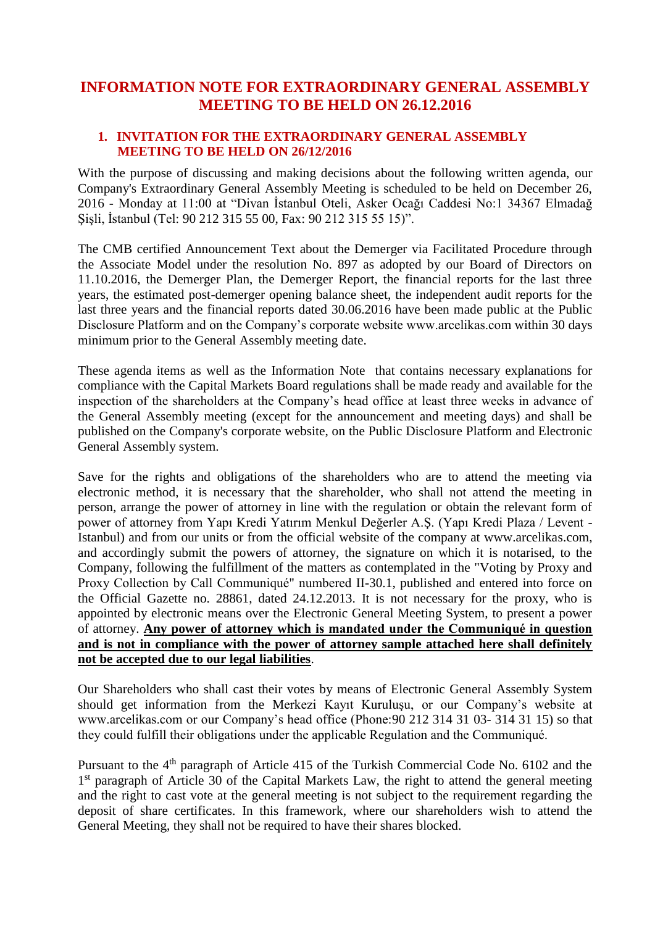## **INFORMATION NOTE FOR EXTRAORDINARY GENERAL ASSEMBLY MEETING TO BE HELD ON 26.12.2016**

### **1. INVITATION FOR THE EXTRAORDINARY GENERAL ASSEMBLY MEETING TO BE HELD ON 26/12/2016**

With the purpose of discussing and making decisions about the following written agenda, our Company's Extraordinary General Assembly Meeting is scheduled to be held on December 26, 2016 - Monday at 11:00 at "Divan İstanbul Oteli, Asker Ocağı Caddesi No:1 34367 Elmadağ Şişli, İstanbul (Tel: 90 212 315 55 00, Fax: 90 212 315 55 15)".

The CMB certified Announcement Text about the Demerger via Facilitated Procedure through the Associate Model under the resolution No. 897 as adopted by our Board of Directors on 11.10.2016, the Demerger Plan, the Demerger Report, the financial reports for the last three years, the estimated post-demerger opening balance sheet, the independent audit reports for the last three years and the financial reports dated 30.06.2016 have been made public at the Public Disclosure Platform and on the Company's corporate website www.arcelikas.com within 30 days minimum prior to the General Assembly meeting date.

These agenda items as well as the Information Note that contains necessary explanations for compliance with the Capital Markets Board regulations shall be made ready and available for the inspection of the shareholders at the Company's head office at least three weeks in advance of the General Assembly meeting (except for the announcement and meeting days) and shall be published on the Company's corporate website, on the Public Disclosure Platform and Electronic General Assembly system.

Save for the rights and obligations of the shareholders who are to attend the meeting via electronic method, it is necessary that the shareholder, who shall not attend the meeting in person, arrange the power of attorney in line with the regulation or obtain the relevant form of power of attorney from Yapı Kredi Yatırım Menkul Değerler A.Ş. (Yapı Kredi Plaza / Levent - Istanbul) and from our units or from the official website of the company at www.arcelikas.com, and accordingly submit the powers of attorney, the signature on which it is notarised, to the Company, following the fulfillment of the matters as contemplated in the "Voting by Proxy and Proxy Collection by Call Communiqué" numbered II-30.1, published and entered into force on the Official Gazette no. 28861, dated 24.12.2013. It is not necessary for the proxy, who is appointed by electronic means over the Electronic General Meeting System, to present a power of attorney. **Any power of attorney which is mandated under the Communiqué in question and is not in compliance with the power of attorney sample attached here shall definitely not be accepted due to our legal liabilities**.

Our Shareholders who shall cast their votes by means of Electronic General Assembly System should get information from the Merkezi Kayıt Kuruluşu, or our Company's website at www.arcelikas.com or our Company's head office (Phone:90 212 314 31 03- 314 31 15) so that they could fulfill their obligations under the applicable Regulation and the Communiqué.

Pursuant to the 4<sup>th</sup> paragraph of Article 415 of the Turkish Commercial Code No. 6102 and the 1<sup>st</sup> paragraph of Article 30 of the Capital Markets Law, the right to attend the general meeting and the right to cast vote at the general meeting is not subject to the requirement regarding the deposit of share certificates. In this framework, where our shareholders wish to attend the General Meeting, they shall not be required to have their shares blocked.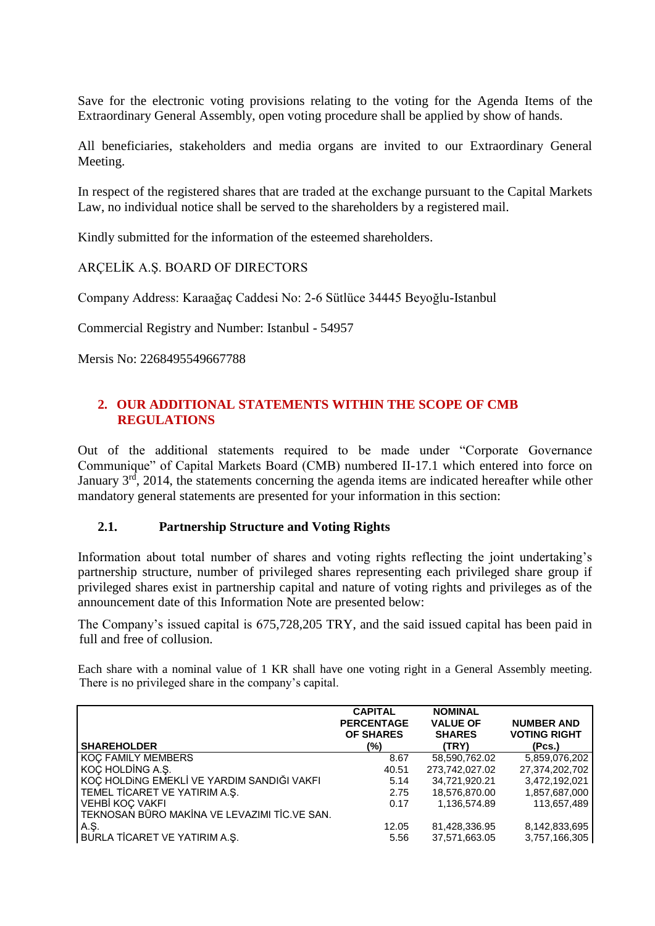Save for the electronic voting provisions relating to the voting for the Agenda Items of the Extraordinary General Assembly, open voting procedure shall be applied by show of hands.

All beneficiaries, stakeholders and media organs are invited to our Extraordinary General Meeting.

In respect of the registered shares that are traded at the exchange pursuant to the Capital Markets Law, no individual notice shall be served to the shareholders by a registered mail.

Kindly submitted for the information of the esteemed shareholders.

ARÇELİK A.Ş. BOARD OF DIRECTORS

Company Address: Karaağaç Caddesi No: 2-6 Sütlüce 34445 Beyoğlu-Istanbul

Commercial Registry and Number: Istanbul - 54957

Mersis No: 2268495549667788

## **2. OUR ADDITIONAL STATEMENTS WITHIN THE SCOPE OF CMB REGULATIONS**

Out of the additional statements required to be made under "Corporate Governance Communique" of Capital Markets Board (CMB) numbered II-17.1 which entered into force on January 3<sup>rd</sup>, 2014, the statements concerning the agenda items are indicated hereafter while other mandatory general statements are presented for your information in this section:

#### **2.1. Partnership Structure and Voting Rights**

Information about total number of shares and voting rights reflecting the joint undertaking's partnership structure, number of privileged shares representing each privileged share group if privileged shares exist in partnership capital and nature of voting rights and privileges as of the announcement date of this Information Note are presented below:

The Company's issued capital is 675,728,205 TRY, and the said issued capital has been paid in full and free of collusion.

Each share with a nominal value of 1 KR shall have one voting right in a General Assembly meeting. There is no privileged share in the company's capital.

|                                              | <b>CAPITAL</b><br><b>PERCENTAGE</b><br><b>OF SHARES</b> | <b>NOMINAL</b><br><b>VALUE OF</b><br><b>SHARES</b> | <b>NUMBER AND</b><br><b>VOTING RIGHT</b> |
|----------------------------------------------|---------------------------------------------------------|----------------------------------------------------|------------------------------------------|
| <b>SHAREHOLDER</b>                           | (%)                                                     | (TRY)                                              | (Pcs.)                                   |
| <b>KOC FAMILY MEMBERS</b>                    | 8.67                                                    | 58,590,762.02                                      | 5,859,076,202                            |
| KOC HOLDING A.S.                             | 40.51                                                   | 273.742.027.02                                     | 27,374,202,702                           |
| KOÇ HOLDING EMEKLİ VE YARDIM SANDIĞI VAKFI   | 5.14                                                    | 34.721.920.21                                      | 3,472,192,021                            |
| TEMEL TİCARET VE YATIRIM A.Ş.                | 2.75                                                    | 18,576,870.00                                      | 1,857,687,000                            |
| VEHBİ KOÇ VAKFI                              | 0.17                                                    | 1,136,574.89                                       | 113,657,489                              |
| TEKNOSAN BÜRO MAKİNA VE LEVAZIMI TİC.VE SAN. |                                                         |                                                    |                                          |
| A.Ş.                                         | 12.05                                                   | 81,428,336.95                                      | 8,142,833,695                            |
| BURLA TİCARET VE YATIRIM A.Ş.                | 5.56                                                    | 37,571,663.05                                      | 3,757,166,305                            |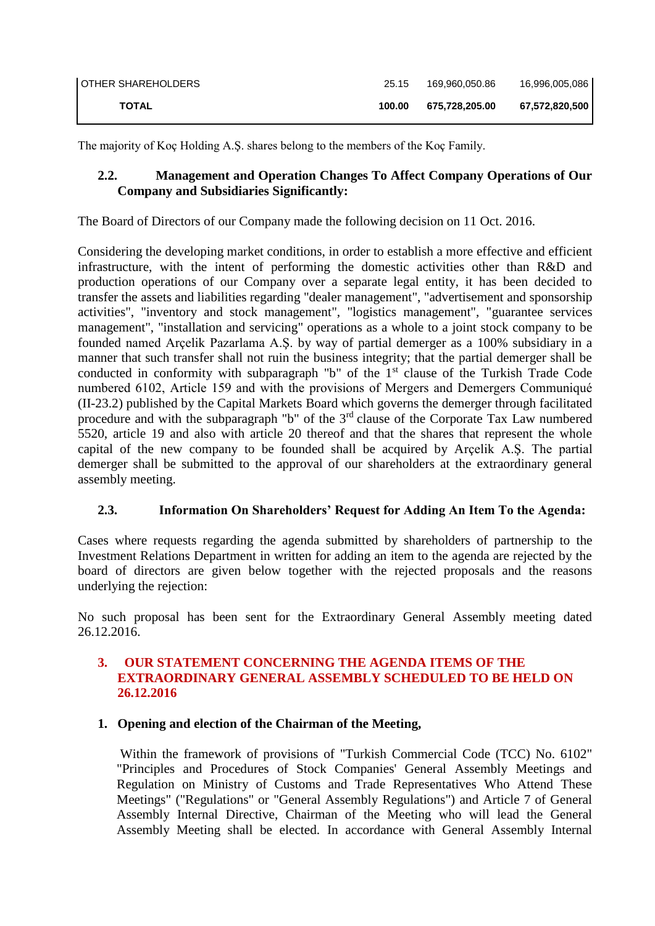| OTHER SHAREHOLDERS | 25.15  | 169.960.050.86 | 16,996,005,086 |
|--------------------|--------|----------------|----------------|
| <b>TOTAL</b>       | 100.00 | 675.728.205.00 | 67,572,820,500 |

The majority of Koç Holding A.Ş. shares belong to the members of the Koç Family.

## **2.2. Management and Operation Changes To Affect Company Operations of Our Company and Subsidiaries Significantly:**

The Board of Directors of our Company made the following decision on 11 Oct. 2016.

Considering the developing market conditions, in order to establish a more effective and efficient infrastructure, with the intent of performing the domestic activities other than R&D and production operations of our Company over a separate legal entity, it has been decided to transfer the assets and liabilities regarding "dealer management", "advertisement and sponsorship activities", "inventory and stock management", "logistics management", "guarantee services management", "installation and servicing" operations as a whole to a joint stock company to be founded named Arçelik Pazarlama A.Ş. by way of partial demerger as a 100% subsidiary in a manner that such transfer shall not ruin the business integrity; that the partial demerger shall be conducted in conformity with subparagraph "b" of the  $1<sup>st</sup>$  clause of the Turkish Trade Code numbered 6102, Article 159 and with the provisions of Mergers and Demergers Communiqué (II-23.2) published by the Capital Markets Board which governs the demerger through facilitated procedure and with the subparagraph "b" of the 3rd clause of the Corporate Tax Law numbered 5520, article 19 and also with article 20 thereof and that the shares that represent the whole capital of the new company to be founded shall be acquired by Arçelik A.Ş. The partial demerger shall be submitted to the approval of our shareholders at the extraordinary general assembly meeting.

## **2.3. Information On Shareholders' Request for Adding An Item To the Agenda:**

Cases where requests regarding the agenda submitted by shareholders of partnership to the Investment Relations Department in written for adding an item to the agenda are rejected by the board of directors are given below together with the rejected proposals and the reasons underlying the rejection:

No such proposal has been sent for the Extraordinary General Assembly meeting dated 26.12.2016.

## **3. OUR STATEMENT CONCERNING THE AGENDA ITEMS OF THE EXTRAORDINARY GENERAL ASSEMBLY SCHEDULED TO BE HELD ON 26.12.2016**

## **1. Opening and election of the Chairman of the Meeting,**

Within the framework of provisions of "Turkish Commercial Code (TCC) No. 6102" "Principles and Procedures of Stock Companies' General Assembly Meetings and Regulation on Ministry of Customs and Trade Representatives Who Attend These Meetings" ("Regulations" or "General Assembly Regulations") and Article 7 of General Assembly Internal Directive, Chairman of the Meeting who will lead the General Assembly Meeting shall be elected. In accordance with General Assembly Internal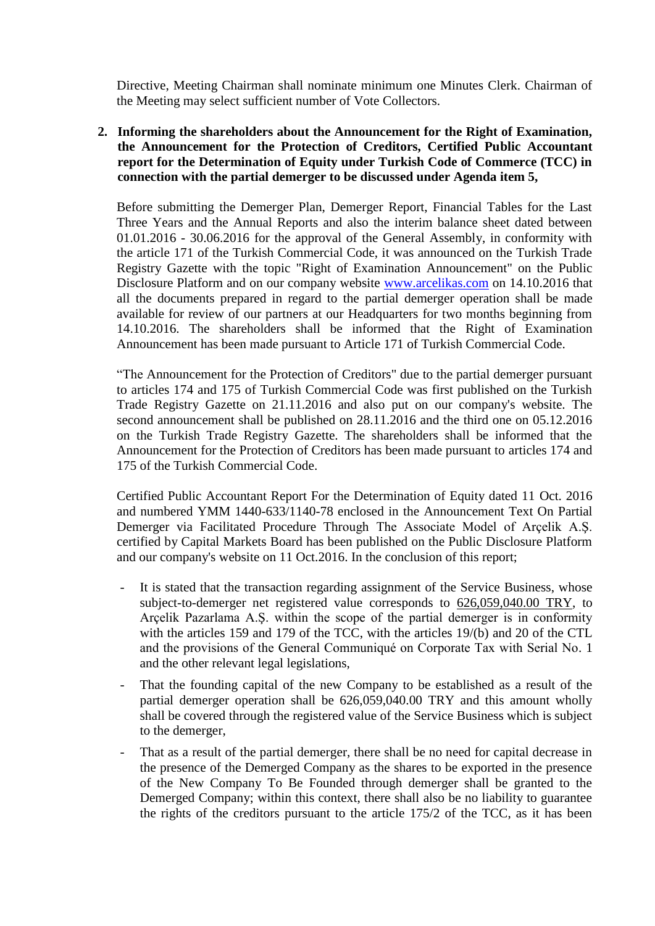Directive, Meeting Chairman shall nominate minimum one Minutes Clerk. Chairman of the Meeting may select sufficient number of Vote Collectors.

**2. Informing the shareholders about the Announcement for the Right of Examination, the Announcement for the Protection of Creditors, Certified Public Accountant report for the Determination of Equity under Turkish Code of Commerce (TCC) in connection with the partial demerger to be discussed under Agenda item 5,**

Before submitting the Demerger Plan, Demerger Report, Financial Tables for the Last Three Years and the Annual Reports and also the interim balance sheet dated between 01.01.2016 - 30.06.2016 for the approval of the General Assembly, in conformity with the article 171 of the Turkish Commercial Code, it was announced on the Turkish Trade Registry Gazette with the topic "Right of Examination Announcement" on the Public Disclosure Platform and on our company website [www.arcelikas.com](http://www.arcelikas.com/) on 14.10.2016 that all the documents prepared in regard to the partial demerger operation shall be made available for review of our partners at our Headquarters for two months beginning from 14.10.2016. The shareholders shall be informed that the Right of Examination Announcement has been made pursuant to Article 171 of Turkish Commercial Code.

"The Announcement for the Protection of Creditors" due to the partial demerger pursuant to articles 174 and 175 of Turkish Commercial Code was first published on the Turkish Trade Registry Gazette on 21.11.2016 and also put on our company's website. The second announcement shall be published on 28.11.2016 and the third one on 05.12.2016 on the Turkish Trade Registry Gazette. The shareholders shall be informed that the Announcement for the Protection of Creditors has been made pursuant to articles 174 and 175 of the Turkish Commercial Code.

Certified Public Accountant Report For the Determination of Equity dated 11 Oct. 2016 and numbered YMM 1440-633/1140-78 enclosed in the Announcement Text On Partial Demerger via Facilitated Procedure Through The Associate Model of Arçelik A.Ş. certified by Capital Markets Board has been published on the Public Disclosure Platform and our company's website on 11 Oct.2016. In the conclusion of this report;

- It is stated that the transaction regarding assignment of the Service Business, whose subject-to-demerger net registered value corresponds to 626,059,040.00 TRY, to Arçelik Pazarlama A.Ş. within the scope of the partial demerger is in conformity with the articles 159 and 179 of the TCC, with the articles 19/(b) and 20 of the CTL and the provisions of the General Communiqué on Corporate Tax with Serial No. 1 and the other relevant legal legislations,
- That the founding capital of the new Company to be established as a result of the partial demerger operation shall be 626,059,040.00 TRY and this amount wholly shall be covered through the registered value of the Service Business which is subject to the demerger,
- That as a result of the partial demerger, there shall be no need for capital decrease in the presence of the Demerged Company as the shares to be exported in the presence of the New Company To Be Founded through demerger shall be granted to the Demerged Company; within this context, there shall also be no liability to guarantee the rights of the creditors pursuant to the article 175/2 of the TCC, as it has been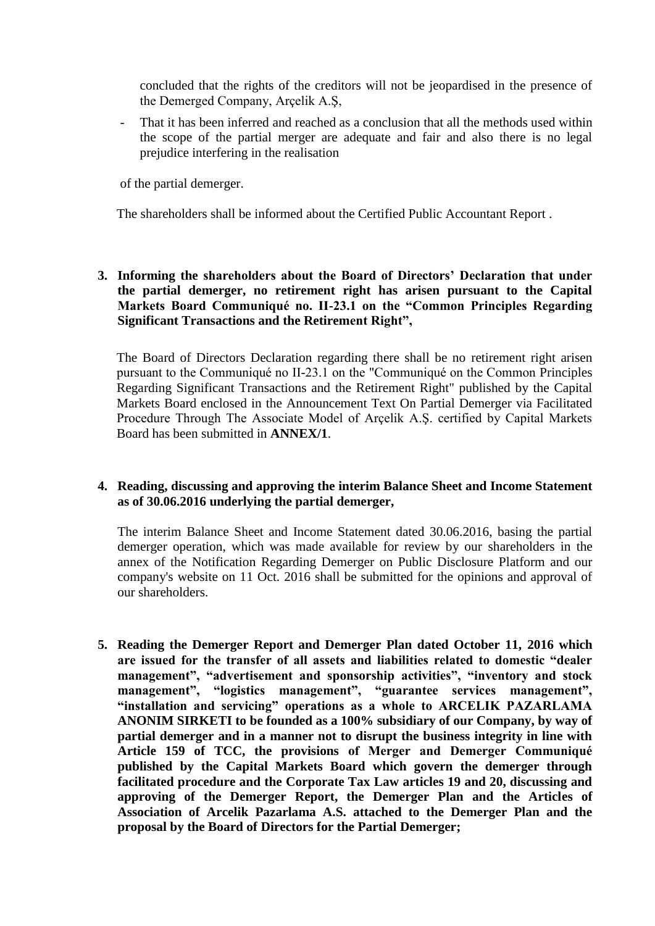concluded that the rights of the creditors will not be jeopardised in the presence of the Demerged Company, Arçelik A.Ş,

That it has been inferred and reached as a conclusion that all the methods used within the scope of the partial merger are adequate and fair and also there is no legal prejudice interfering in the realisation

of the partial demerger.

The shareholders shall be informed about the Certified Public Accountant Report .

**3. Informing the shareholders about the Board of Directors' Declaration that under the partial demerger, no retirement right has arisen pursuant to the Capital Markets Board Communiqué no. II-23.1 on the "Common Principles Regarding Significant Transactions and the Retirement Right",**

The Board of Directors Declaration regarding there shall be no retirement right arisen pursuant to the Communiqué no II-23.1 on the "Communiqué on the Common Principles Regarding Significant Transactions and the Retirement Right" published by the Capital Markets Board enclosed in the Announcement Text On Partial Demerger via Facilitated Procedure Through The Associate Model of Arçelik A.Ş. certified by Capital Markets Board has been submitted in **ANNEX/1**.

### **4. Reading, discussing and approving the interim Balance Sheet and Income Statement as of 30.06.2016 underlying the partial demerger,**

The interim Balance Sheet and Income Statement dated 30.06.2016, basing the partial demerger operation, which was made available for review by our shareholders in the annex of the Notification Regarding Demerger on Public Disclosure Platform and our company's website on 11 Oct. 2016 shall be submitted for the opinions and approval of our shareholders.

**5. Reading the Demerger Report and Demerger Plan dated October 11, 2016 which are issued for the transfer of all assets and liabilities related to domestic "dealer management", "advertisement and sponsorship activities", "inventory and stock management", "logistics management", "guarantee services management", "installation and servicing" operations as a whole to ARCELIK PAZARLAMA ANONIM SIRKETI to be founded as a 100% subsidiary of our Company, by way of partial demerger and in a manner not to disrupt the business integrity in line with Article 159 of TCC, the provisions of Merger and Demerger Communiqué published by the Capital Markets Board which govern the demerger through facilitated procedure and the Corporate Tax Law articles 19 and 20, discussing and approving of the Demerger Report, the Demerger Plan and the Articles of Association of Arcelik Pazarlama A.S. attached to the Demerger Plan and the proposal by the Board of Directors for the Partial Demerger;**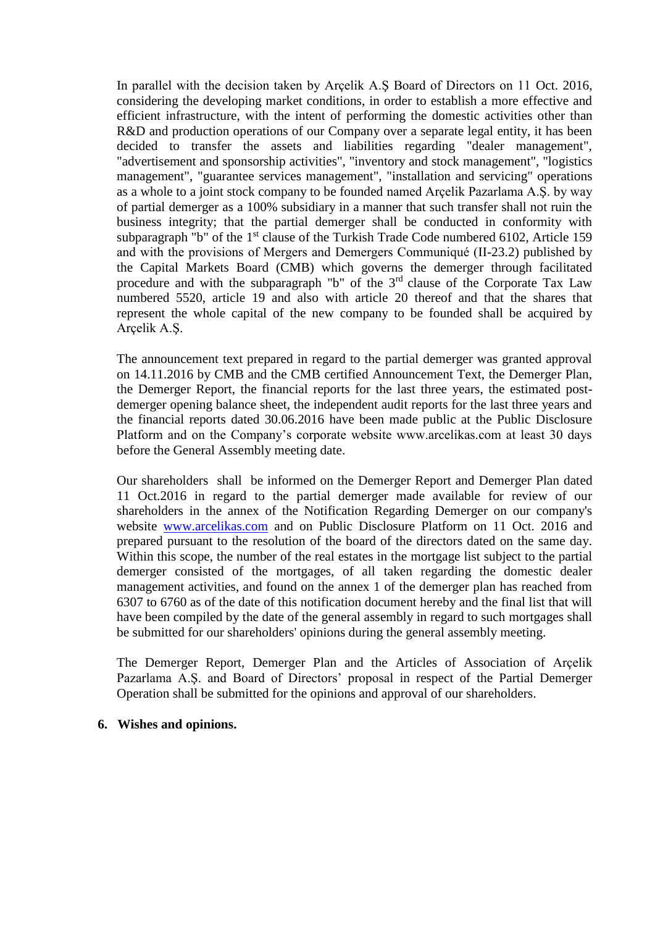In parallel with the decision taken by Arçelik A.Ş Board of Directors on 11 Oct. 2016, considering the developing market conditions, in order to establish a more effective and efficient infrastructure, with the intent of performing the domestic activities other than R&D and production operations of our Company over a separate legal entity, it has been decided to transfer the assets and liabilities regarding "dealer management", "advertisement and sponsorship activities", "inventory and stock management", "logistics management", "guarantee services management", "installation and servicing" operations as a whole to a joint stock company to be founded named Arçelik Pazarlama A.Ş. by way of partial demerger as a 100% subsidiary in a manner that such transfer shall not ruin the business integrity; that the partial demerger shall be conducted in conformity with subparagraph "b" of the  $1<sup>st</sup>$  clause of the Turkish Trade Code numbered 6102, Article 159 and with the provisions of Mergers and Demergers Communiqué (II-23.2) published by the Capital Markets Board (CMB) which governs the demerger through facilitated procedure and with the subparagraph "b" of the  $3<sup>rd</sup>$  clause of the Corporate Tax Law numbered 5520, article 19 and also with article 20 thereof and that the shares that represent the whole capital of the new company to be founded shall be acquired by Arçelik A.Ş.

The announcement text prepared in regard to the partial demerger was granted approval on 14.11.2016 by CMB and the CMB certified Announcement Text, the Demerger Plan, the Demerger Report, the financial reports for the last three years, the estimated postdemerger opening balance sheet, the independent audit reports for the last three years and the financial reports dated 30.06.2016 have been made public at the Public Disclosure Platform and on the Company's corporate website www.arcelikas.com at least 30 days before the General Assembly meeting date.

Our shareholders shall be informed on the Demerger Report and Demerger Plan dated 11 Oct.2016 in regard to the partial demerger made available for review of our shareholders in the annex of the Notification Regarding Demerger on our company's website [www.arcelikas.com](http://www.arcelikas.com/) and on Public Disclosure Platform on 11 Oct. 2016 and prepared pursuant to the resolution of the board of the directors dated on the same day. Within this scope, the number of the real estates in the mortgage list subject to the partial demerger consisted of the mortgages, of all taken regarding the domestic dealer management activities, and found on the annex 1 of the demerger plan has reached from 6307 to 6760 as of the date of this notification document hereby and the final list that will have been compiled by the date of the general assembly in regard to such mortgages shall be submitted for our shareholders' opinions during the general assembly meeting.

The Demerger Report, Demerger Plan and the Articles of Association of Arçelik Pazarlama A.Ş. and Board of Directors' proposal in respect of the Partial Demerger Operation shall be submitted for the opinions and approval of our shareholders.

#### **6. Wishes and opinions.**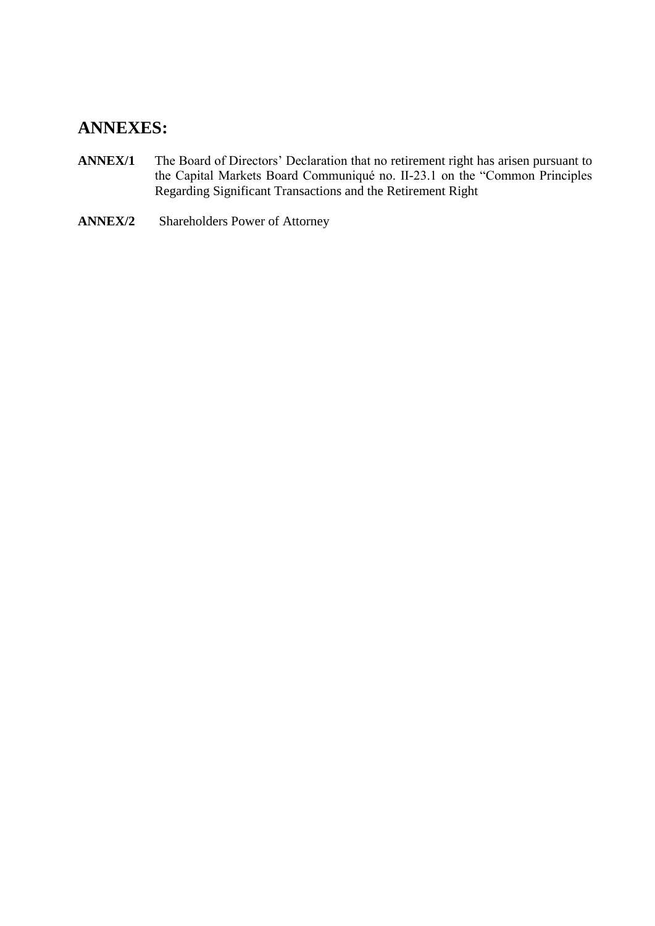# **ANNEXES:**

- **ANNEX/1** The Board of Directors' Declaration that no retirement right has arisen pursuant to the Capital Markets Board Communiqué no. II-23.1 on the "Common Principles Regarding Significant Transactions and the Retirement Right
- **ANNEX/2** Shareholders Power of Attorney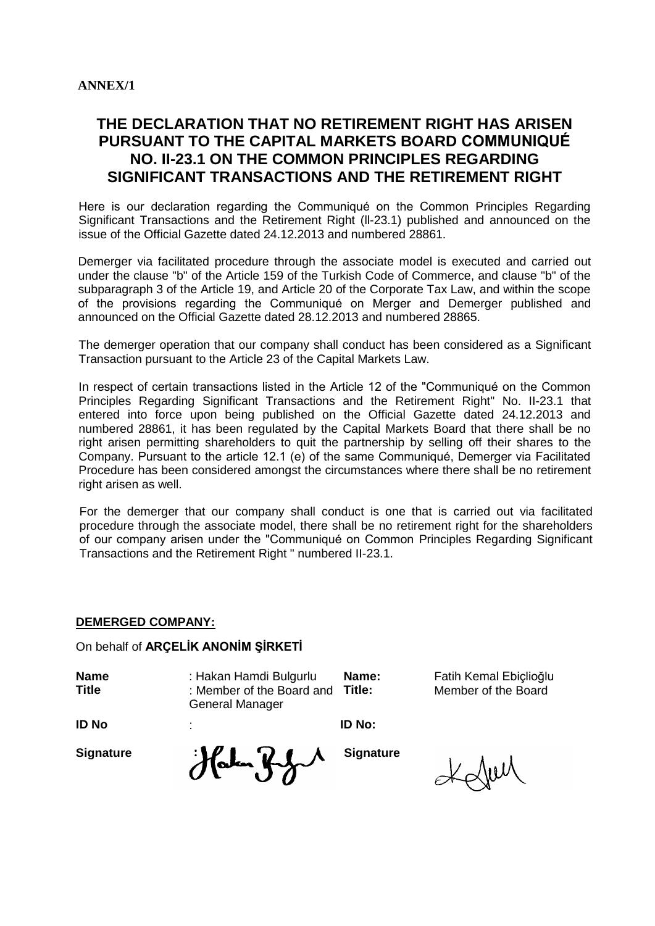## **THE DECLARATION THAT NO RETIREMENT RIGHT HAS ARISEN PURSUANT TO THE CAPITAL MARKETS BOARD COMMUNIQUÉ NO. II-23.1 ON THE COMMON PRINCIPLES REGARDING SIGNIFICANT TRANSACTIONS AND THE RETIREMENT RIGHT**

Here is our declaration regarding the Communiqué on the Common Principles Regarding Significant Transactions and the Retirement Right (ll-23.1) published and announced on the issue of the Official Gazette dated 24.12.2013 and numbered 28861.

Demerger via facilitated procedure through the associate model is executed and carried out under the clause "b" of the Article 159 of the Turkish Code of Commerce, and clause "b" of the subparagraph 3 of the Article 19, and Article 20 of the Corporate Tax Law, and within the scope of the provisions regarding the Communiqué on Merger and Demerger published and announced on the Official Gazette dated 28.12.2013 and numbered 28865.

The demerger operation that our company shall conduct has been considered as a Significant Transaction pursuant to the Article 23 of the Capital Markets Law.

In respect of certain transactions listed in the Article 12 of the "Communiqué on the Common Principles Regarding Significant Transactions and the Retirement Right" No. II-23.1 that entered into force upon being published on the Official Gazette dated 24.12.2013 and numbered 28861, it has been regulated by the Capital Markets Board that there shall be no right arisen permitting shareholders to quit the partnership by selling off their shares to the Company. Pursuant to the article 12.1 (e) of the same Communiqué, Demerger via Facilitated Procedure has been considered amongst the circumstances where there shall be no retirement right arisen as well.

For the demerger that our company shall conduct is one that is carried out via facilitated procedure through the associate model, there shall be no retirement right for the shareholders of our company arisen under the "Communiqué on Common Principles Regarding Significant Transactions and the Retirement Right " numbered II-23.1.

#### **DEMERGED COMPANY:**

On behalf of **ARÇELİK ANONİM ŞİRKETİ**

| <b>Name</b><br><b>Title</b> | : Hakan Hamdi Bulgurlu<br>: Member of the Board and<br><b>General Manager</b> | Name:<br>Title:  | Fatih Kemal Ebiçlioğlu<br>Member of the Board |
|-----------------------------|-------------------------------------------------------------------------------|------------------|-----------------------------------------------|
| <b>ID No</b>                | ÷                                                                             | ID No:           |                                               |
| <b>Signature</b>            | Halm Ky                                                                       | <b>Signature</b> |                                               |

Kolui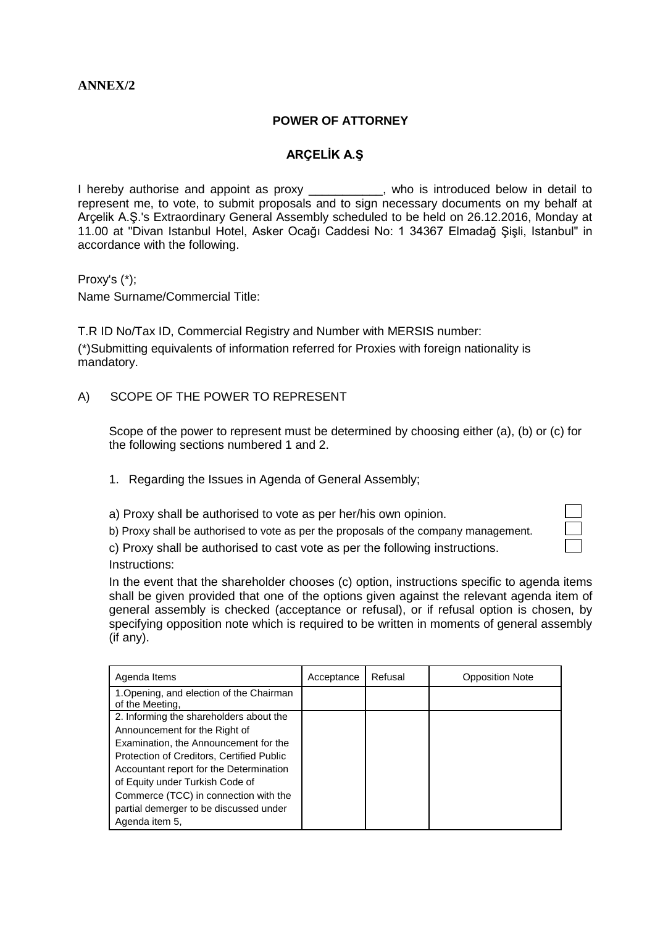## **ANNEX/2**

#### **POWER OF ATTORNEY**

## **ARÇELİK A.Ş**

I hereby authorise and appoint as proxy \_\_\_\_\_\_\_\_\_\_, who is introduced below in detail to represent me, to vote, to submit proposals and to sign necessary documents on my behalf at Arçelik A.Ş.'s Extraordinary General Assembly scheduled to be held on 26.12.2016, Monday at 11.00 at "Divan Istanbul Hotel, Asker Ocağı Caddesi No: 1 34367 Elmadağ Şişli, Istanbul" in accordance with the following.

Proxy's (\*);

Name Surname/Commercial Title:

T.R ID No/Tax ID, Commercial Registry and Number with MERSIS number: (\*)Submitting equivalents of information referred for Proxies with foreign nationality is mandatory.

#### A) SCOPE OF THE POWER TO REPRESENT

Scope of the power to represent must be determined by choosing either (a), (b) or (c) for the following sections numbered 1 and 2.

- 1. Regarding the Issues in Agenda of General Assembly;
- a) Proxy shall be authorised to vote as per her/his own opinion.
- b) Proxy shall be authorised to vote as per the proposals of the company management.

c) Proxy shall be authorised to cast vote as per the following instructions. Instructions:

In the event that the shareholder chooses (c) option, instructions specific to agenda items shall be given provided that one of the options given against the relevant agenda item of general assembly is checked (acceptance or refusal), or if refusal option is chosen, by specifying opposition note which is required to be written in moments of general assembly (if any).

| Agenda Items                                                | Acceptance | Refusal | <b>Opposition Note</b> |
|-------------------------------------------------------------|------------|---------|------------------------|
| 1. Opening, and election of the Chairman<br>of the Meeting, |            |         |                        |
| 2. Informing the shareholders about the                     |            |         |                        |
| Announcement for the Right of                               |            |         |                        |
| Examination, the Announcement for the                       |            |         |                        |
| Protection of Creditors, Certified Public                   |            |         |                        |
| Accountant report for the Determination                     |            |         |                        |
| of Equity under Turkish Code of                             |            |         |                        |
| Commerce (TCC) in connection with the                       |            |         |                        |
| partial demerger to be discussed under                      |            |         |                        |
| Agenda item 5,                                              |            |         |                        |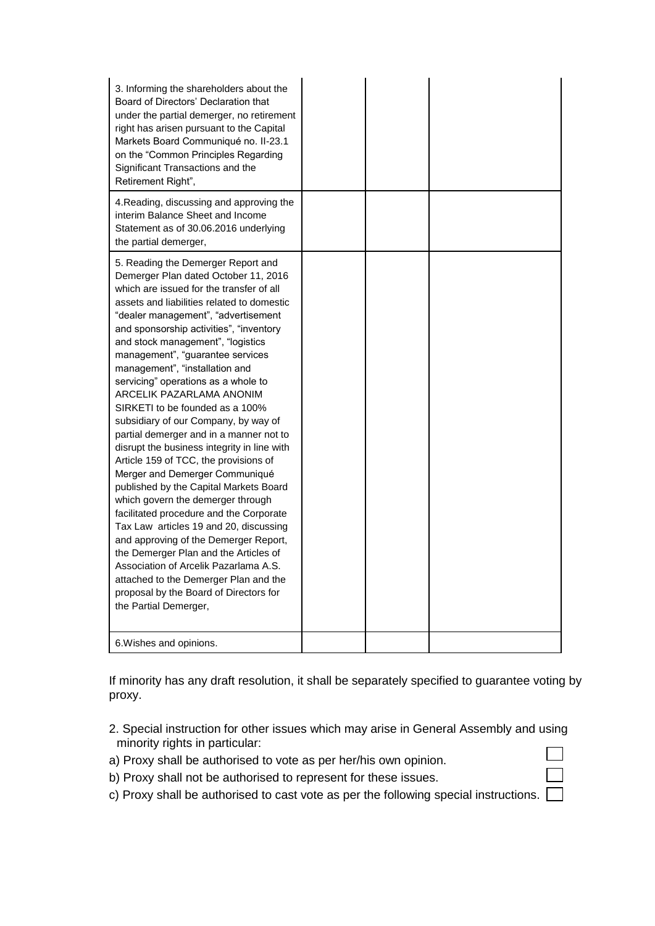| 3. Informing the shareholders about the<br>Board of Directors' Declaration that<br>under the partial demerger, no retirement<br>right has arisen pursuant to the Capital<br>Markets Board Communiqué no. II-23.1<br>on the "Common Principles Regarding<br>Significant Transactions and the<br>Retirement Right",                                                                                                                                                                                                                                                                                                                                                                                                                                                                                                                                                                                                                                                                                                                                                                               |  |  |
|-------------------------------------------------------------------------------------------------------------------------------------------------------------------------------------------------------------------------------------------------------------------------------------------------------------------------------------------------------------------------------------------------------------------------------------------------------------------------------------------------------------------------------------------------------------------------------------------------------------------------------------------------------------------------------------------------------------------------------------------------------------------------------------------------------------------------------------------------------------------------------------------------------------------------------------------------------------------------------------------------------------------------------------------------------------------------------------------------|--|--|
| 4. Reading, discussing and approving the<br>interim Balance Sheet and Income<br>Statement as of 30.06.2016 underlying<br>the partial demerger,                                                                                                                                                                                                                                                                                                                                                                                                                                                                                                                                                                                                                                                                                                                                                                                                                                                                                                                                                  |  |  |
| 5. Reading the Demerger Report and<br>Demerger Plan dated October 11, 2016<br>which are issued for the transfer of all<br>assets and liabilities related to domestic<br>"dealer management", "advertisement<br>and sponsorship activities", "inventory<br>and stock management", "logistics<br>management", "guarantee services<br>management", "installation and<br>servicing" operations as a whole to<br>ARCELIK PAZARLAMA ANONIM<br>SIRKETI to be founded as a 100%<br>subsidiary of our Company, by way of<br>partial demerger and in a manner not to<br>disrupt the business integrity in line with<br>Article 159 of TCC, the provisions of<br>Merger and Demerger Communiqué<br>published by the Capital Markets Board<br>which govern the demerger through<br>facilitated procedure and the Corporate<br>Tax Law articles 19 and 20, discussing<br>and approving of the Demerger Report,<br>the Demerger Plan and the Articles of<br>Association of Arcelik Pazarlama A.S.<br>attached to the Demerger Plan and the<br>proposal by the Board of Directors for<br>the Partial Demerger, |  |  |
| 6. Wishes and opinions.                                                                                                                                                                                                                                                                                                                                                                                                                                                                                                                                                                                                                                                                                                                                                                                                                                                                                                                                                                                                                                                                         |  |  |

If minority has any draft resolution, it shall be separately specified to guarantee voting by proxy.

2. Special instruction for other issues which may arise in General Assembly and using minority rights in particular:  $\Box$ 

 $\Box$ 

- a) Proxy shall be authorised to vote as per her/his own opinion.
- b) Proxy shall not be authorised to represent for these issues.
- c) Proxy shall be authorised to cast vote as per the following special instructions.  $\Box$